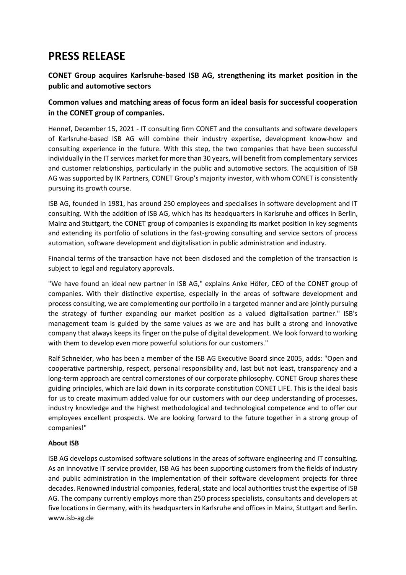# **PRESS RELEASE**

# **CONET Group acquires Karlsruhe-based ISB AG, strengthening its market position in the public and automotive sectors**

# **Common values and matching areas of focus form an ideal basis for successful cooperation in the CONET group of companies.**

Hennef, December 15, 2021 - IT consulting firm CONET and the consultants and software developers of Karlsruhe-based ISB AG will combine their industry expertise, development know-how and consulting experience in the future. With this step, the two companies that have been successful individually in the IT services market for more than 30 years, will benefit from complementary services and customer relationships, particularly in the public and automotive sectors. The acquisition of ISB AG was supported by IK Partners, CONET Group's majority investor, with whom CONET is consistently pursuing its growth course.

ISB AG, founded in 1981, has around 250 employees and specialises in software development and IT consulting. With the addition of ISB AG, which has its headquarters in Karlsruhe and offices in Berlin, Mainz and Stuttgart, the CONET group of companies is expanding its market position in key segments and extending its portfolio of solutions in the fast-growing consulting and service sectors of process automation, software development and digitalisation in public administration and industry.

Financial terms of the transaction have not been disclosed and the completion of the transaction is subject to legal and regulatory approvals.

"We have found an ideal new partner in ISB AG," explains Anke Höfer, CEO of the CONET group of companies. With their distinctive expertise, especially in the areas of software development and process consulting, we are complementing our portfolio in a targeted manner and are jointly pursuing the strategy of further expanding our market position as a valued digitalisation partner." ISB's management team is guided by the same values as we are and has built a strong and innovative company that always keeps its finger on the pulse of digital development. We look forward to working with them to develop even more powerful solutions for our customers."

Ralf Schneider, who has been a member of the ISB AG Executive Board since 2005, adds: "Open and cooperative partnership, respect, personal responsibility and, last but not least, transparency and a long-term approach are central cornerstones of our corporate philosophy. CONET Group shares these guiding principles, which are laid down in its corporate constitution CONET LIFE. This is the ideal basis for us to create maximum added value for our customers with our deep understanding of processes, industry knowledge and the highest methodological and technological competence and to offer our employees excellent prospects. We are looking forward to the future together in a strong group of companies!"

## **About ISB**

ISB AG develops customised software solutions in the areas of software engineering and IT consulting. As an innovative IT service provider, ISB AG has been supporting customers from the fields of industry and public administration in the implementation of their software development projects for three decades. Renowned industrial companies, federal, state and local authorities trust the expertise of ISB AG. The company currently employs more than 250 process specialists, consultants and developers at five locations in Germany, with its headquarters in Karlsruhe and offices in Mainz, Stuttgart and Berlin. www.isb-ag.de